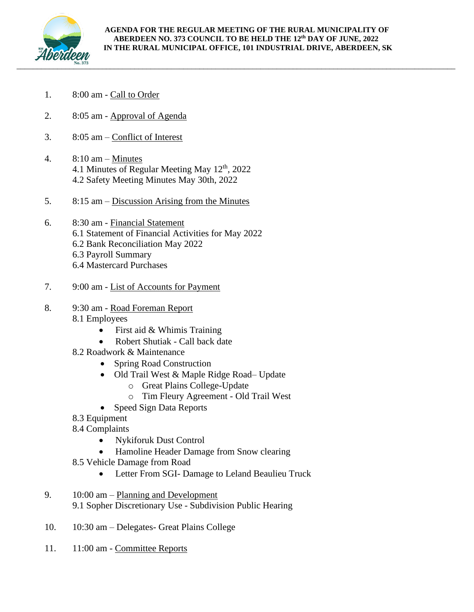

## **AGENDA FOR THE REGULAR MEETING OF THE RURAL MUNICIPALITY OF ABERDEEN NO. 373 COUNCIL TO BE HELD THE 12 th DAY OF JUNE, 2022 IN THE RURAL MUNICIPAL OFFICE, 101 INDUSTRIAL DRIVE, ABERDEEN, SK**

- 1. 8:00 am Call to Order
- 2. 8:05 am Approval of Agenda
- 3. 8:05 am Conflict of Interest
- 4. 8:10 am Minutes 4.1 Minutes of Regular Meeting May 12<sup>th</sup>, 2022 4.2 Safety Meeting Minutes May 30th, 2022
- 5. 8:15 am Discussion Arising from the Minutes
- 6. 8:30 am Financial Statement 6.1 Statement of Financial Activities for May 2022 6.2 Bank Reconciliation May 2022 6.3 Payroll Summary 6.4 Mastercard Purchases
- 7. 9:00 am List of Accounts for Payment
- 8. 9:30 am Road Foreman Report
	- 8.1 Employees
		- First aid & Whimis Training
		- Robert Shutiak Call back date
	- 8.2 Roadwork & Maintenance
		- Spring Road Construction
		- Old Trail West & Maple Ridge Road– Update
			- o Great Plains College-Update
			- o Tim Fleury Agreement Old Trail West
		- Speed Sign Data Reports
	- 8.3 Equipment
	- 8.4 Complaints
		- Nykiforuk Dust Control
		- Hamoline Header Damage from Snow clearing
	- 8.5 Vehicle Damage from Road
		- Letter From SGI- Damage to Leland Beaulieu Truck
- 9. 10:00 am Planning and Development 9.1 Sopher Discretionary Use - Subdivision Public Hearing
- 10. 10:30 am Delegates- Great Plains College
- 11. 11:00 am Committee Reports